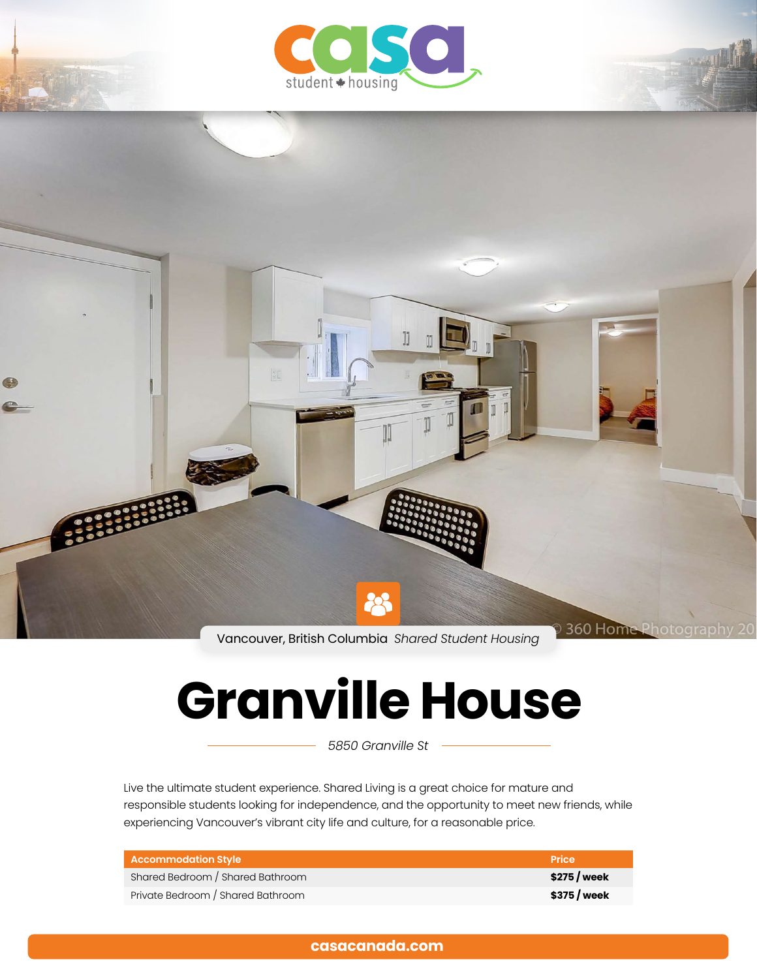



Vancouver, British Columbia *Shared Student Housing*

# **Granville House**

*5850 Granville St*

Live the ultimate student experience. Shared Living is a great choice for mature and responsible students looking for independence, and the opportunity to meet new friends, while experiencing Vancouver's vibrant city life and culture, for a reasonable price.

| <b>Accommodation Style</b>        | <b>Price</b>  |
|-----------------------------------|---------------|
| Shared Bedroom / Shared Bathroom  | $$275$ / week |
| Private Bedroom / Shared Bathroom | \$375 / week  |